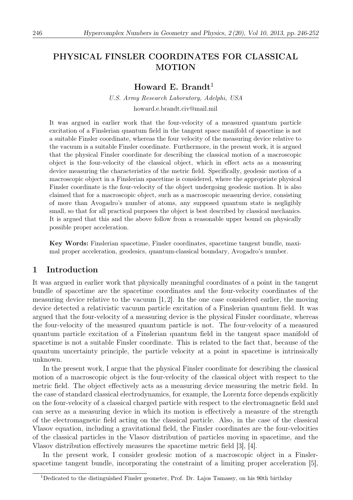# PHYSICAL FINSLER COORDINATES FOR CLASSICAL MOTION

## Howard E. Brandt<sup>1</sup>

U.S. Army Research Laboratory, Adelphi, USA howard.e.brandt.civ@mail.mil

It was argued in earlier work that the four-velocity of a measured quantum particle excitation of a Finslerian quantum field in the tangent space manifold of spacetime is not a suitable Finsler coordinate, whereas the four velocity of the measuring device relative to the vacuum is a suitable Finsler coordinate. Furthermore, in the present work, it is argued that the physical Finsler coordinate for describing the classical motion of a macroscopic object is the four-velocity of the classical object, which in effect acts as a measuring device measuring the characteristics of the metric field. Specifically, geodesic motion of a macroscopic object in a Finslerian spacetime is considered, where the appropriate physical Finsler coordinate is the four-velocity of the object undergoing geodesic motion. It is also claimed that for a macroscopic object, such as a macroscopic measuring device, consisting of more than Avogadro's number of atoms, any supposed quantum state is negligibly small, so that for all practical purposes the object is best described by classical mechanics. It is argued that this and the above follow from a reasonable upper bound on physically possible proper acceleration.

Key Words: Finslerian spacetime, Finsler coordinates, spacetime tangent bundle, maximal proper acceleration, geodesics, quantum-classical boundary, Avogadro's number.

### 1 Introduction

It was argued in earlier work that physically meaningful coordinates of a point in the tangent bundle of spacetime are the spacetime coordinates and the four-velocity coordinates of the measuring device relative to the vacuum  $\left[1, 2\right]$ . In the one case considered earlier, the moving device detected a relativistic vacuum particle excitation of a Finslerian quantum field. It was argued that the four-velocity of a measuring device is the physical Finsler coordinate, whereas the four-velocity of the measured quantum particle is not. The four-velocity of a measured quantum particle excitation of a Finslerian quantum field in the tangent space manifold of spacetime is not a suitable Finsler coordinate. This is related to the fact that, because of the quantum uncertainty principle, the particle velocity at a point in spacetime is intrinsically unknown.

In the present work, I argue that the physical Finsler coordinate for describing the classical motion of a macroscopic object is the four-velocity of the classical object with respect to the metric field. The object effectively acts as a measuring device measuring the metric field. In the case of standard classical electrodynamics, for example, the Lorentz force depends explicitly on the four-velocity of a classical charged particle with respect to the electromagnetic field and can serve as a measuring device in which its motion is effectively a measure of the strength of the electromagnetic field acting on the classical particle. Also, in the case of the classical Vlasov equation, including a gravitational field, the Finsler coordinates are the four-velocities of the classical particles in the Vlasov distribution of particles moving in spacetime, and the Vlasov distribution effectively measures the spacetime metric field [3], [4].

In the present work, I consider geodesic motion of a macroscopic object in a Finslerspacetime tangent bundle, incorporating the constraint of a limiting proper acceleration [5],

<sup>&</sup>lt;sup>1</sup>Dedicated to the distinguished Finsler geometer, Prof. Dr. Lajos Tamassy, on his 90th birthday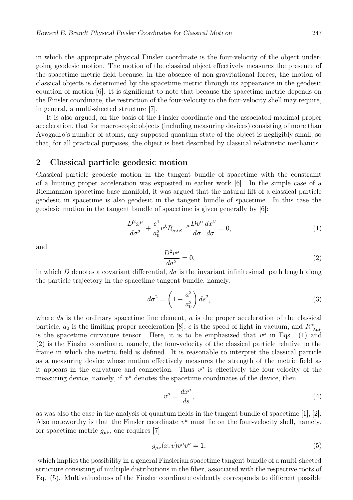in which the appropriate physical Finsler coordinate is the four-velocity of the object undergoing geodesic motion. The motion of the classical object effectively measures the presence of the spacetime metric field because, in the absence of non-gravitational forces, the motion of classical objects is determined by the spacetime metric through its appearance in the geodesic equation of motion [6]. It is significant to note that because the spacetime metric depends on the Finsler coordinate, the restriction of the four-velocity to the four-velocity shell may require, in general, a multi-sheeted structure [7].

It is also argued, on the basis of the Finsler coordinate and the associated maximal proper acceleration, that for macroscopic objects (including measuring devices) consisting of more than Avogadro's number of atoms, any supposed quantum state of the object is negligibly small, so that, for all practical purposes, the object is best described by classical relativistic mechanics.

#### 2 Classical particle geodesic motion

Classical particle geodesic motion in the tangent bundle of spacetime with the constraint of a limiting proper acceleration was exposited in earlier work [6]. In the simple case of a Riemannian-spacetime base manifold, it was argued that the natural lift of a classical particle geodesic in spacetime is also geodesic in the tangent bundle of spacetime. In this case the geodesic motion in the tangent bundle of spacetime is given generally by [6]:

$$
\frac{D^2x^{\mu}}{d\sigma^2} + \frac{c^4}{a_0^2}v^{\lambda}R_{\alpha\lambda\beta} \frac{\mu Dv^{\alpha}}{d\sigma}\frac{dx^{\beta}}{d\sigma} = 0, \qquad (1)
$$

and

$$
\frac{D^2v^{\mu}}{d\sigma^2} = 0,\t\t(2)
$$

in which D denotes a covariant differential,  $d\sigma$  is the invariant infinitesimal path length along the particle trajectory in the spacetime tangent bundle, namely,

$$
d\sigma^2 = \left(1 - \frac{a^2}{a_0^2}\right) ds^2,\tag{3}
$$

where  $ds$  is the ordinary spacetime line element,  $a$  is the proper acceleration of the classical particle,  $a_0$  is the limiting proper acceleration [8], c is the speed of light in vacuum, and  $R^{\alpha}_{\ \lambda\mu\nu}$ is the spacetime curvature tensor. Here, it is to be emphasized that  $v^{\mu}$  in Eqs. (1) and (2) is the Finsler coordinate, namely, the four-velocity of the classical particle relative to the frame in which the metric field is defined. It is reasonable to interpret the classical particle as a measuring device whose motion effectively measures the strength of the metric field as it appears in the curvature and connection. Thus  $v^{\mu}$  is effectively the four-velocity of the measuring device, namely, if  $x^{\mu}$  denotes the spacetime coordinates of the device, then

$$
v^{\mu} = \frac{dx^{\mu}}{ds},\tag{4}
$$

as was also the case in the analysis of quantum fields in the tangent bundle of spacetime [1], [2]. Also noteworthy is that the Finsler coordinate  $v^{\mu}$  must lie on the four-velocity shell, namely, for spacetime metric  $g_{\mu\nu}$ , one requires [7]

$$
g_{\mu\nu}(x,v)v^{\mu}v^{\nu} = 1,\tag{5}
$$

which implies the possibility in a general Finslerian spacetime tangent bundle of a multi-sheeted structure consisting of multiple distributions in the fiber, associated with the respective roots of Eq. (5). Multivaluedness of the Finsler coordinate evidently corresponds to different possible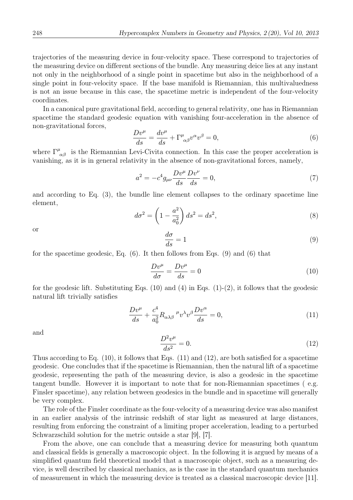trajectories of the measuring device in four-velocity space. These correspond to trajectories of the measuring device on different sections of the bundle. Any measuring deice lies at any instant not only in the neighborhood of a single point in spacetime but also in the neighborhood of a single point in four-velocity space. If the base manifold is Riemannian, this multivaluedness is not an issue because in this case, the spacetime metric is independent of the four-velocity coordinates.

In a canonical pure gravitational field, according to general relativity, one has in Riemannian spacetime the standard geodesic equation with vanishing four-acceleration in the absence of non-gravitational forces,

$$
\frac{Dv^{\mu}}{ds} = \frac{dv^{\mu}}{ds} + \Gamma^{\mu}_{\alpha\beta}v^{\alpha}v^{\beta} = 0,
$$
\n(6)

where  $\Gamma^{\mu}{}_{\alpha\beta}$  is the Riemannian Levi-Civita connection. In this case the proper acceleration is vanishing, as it is in general relativity in the absence of non-gravitational forces, namely,

$$
a^2 = -c^4 g_{\mu\nu} \frac{D v^{\mu}}{ds} \frac{D v^{\nu}}{ds} = 0,
$$
\n(7)

and according to Eq. (3), the bundle line element collapses to the ordinary spacetime line element,

$$
d\sigma^2 = \left(1 - \frac{a^2}{a_0^2}\right) ds^2 = ds^2,
$$
\n(8)

or

$$
\frac{d\sigma}{ds} = 1\tag{9}
$$

for the spacetime geodesic, Eq. (6). It then follows from Eqs. (9) and (6) that

$$
\frac{Dv^{\mu}}{d\sigma} = \frac{Dv^{\mu}}{ds} = 0\tag{10}
$$

for the geodesic lift. Substituting Eqs.  $(10)$  and  $(4)$  in Eqs.  $(1)-(2)$ , it follows that the geodesic natural lift trivially satisfies

$$
\frac{Dv^{\mu}}{ds} + \frac{c^4}{a_0^2} R_{\alpha\lambda\beta}^{\mu} v^{\lambda} v^{\beta} \frac{Dv^{\alpha}}{ds} = 0, \qquad (11)
$$

and

$$
\frac{D^2 v^{\mu}}{ds^2} = 0.
$$
 (12)

Thus according to Eq. (10), it follows that Eqs. (11) and (12), are both satisfied for a spacetime geodesic. One concludes that if the spacetime is Riemannian, then the natural lift of a spacetime geodesic, representing the path of the measuring device, is also a geodesic in the spacetime tangent bundle. However it is important to note that for non-Riemannian spacetimes ( e.g. Finsler spacetime), any relation between geodesics in the bundle and in spacetime will generally be very complex.

The role of the Finsler coordinate as the four-velocity of a measuring device was also manifest in an earlier analysis of the intrinsic redshift of star light as measured at large distances, resulting from enforcing the constraint of a limiting proper acceleration, leading to a perturbed Schwarzschild solution for the metric outside a star [9], [7].

From the above, one can conclude that a measuring device for measuring both quantum and classical fields is generally a macroscopic object. In the following it is argued by means of a simplified quantum field theoretical model that a macroscopic object, such as a measuring device, is well described by classical mechanics, as is the case in the standard quantum mechanics of measurement in which the measuring device is treated as a classical macroscopic device [11].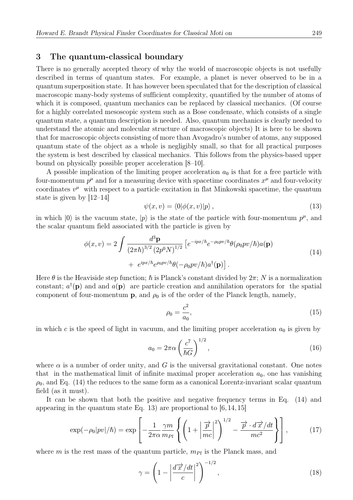### 3 The quantum-classical boundary

There is no generally accepted theory of why the world of macroscopic objects is not usefully described in terms of quantum states. For example, a planet is never observed to be in a quantum superposition state. It has however been speculated that for the description of classical macroscopic many-body systems of sufficient complexity, quantified by the number of atoms of which it is composed, quantum mechanics can be replaced by classical mechanics. (Of course for a highly correlated mesoscopic system such as a Bose condensate, which consists of a single quantum state, a quantum description is needed. Also, quantum mechanics is clearly needed to understand the atomic and molecular structure of macroscopic objects) It is here to be shown that for macroscopic objects consisting of more than Avogadro's number of atoms, any supposed quantum state of the object as a whole is negligibly small, so that for all practical purposes the system is best described by classical mechanics. This follows from the physics-based upper bound on physically possible proper acceleration [8–10].

A possible implication of the limiting proper acceleration  $a_0$  is that for a free particle with four-momentum  $p^{\mu}$  and for a measuring device with spacetime coordinates  $x^{\mu}$  and four-velocity coordinates  $v^{\mu}$  with respect to a particle excitation in flat Minkowski spacetime, the quantum state is given by [12–14]

$$
\psi(x,v) = \langle 0|\phi(x,v)|p\rangle, \qquad (13)
$$

in which  $|0\rangle$  is the vacuum state,  $|p\rangle$  is the state of the particle with four-momentum  $p^{\mu}$ , and the scalar quantum field associated with the particle is given by

$$
\phi(x,v) = 2 \int \frac{d^3 \mathbf{p}}{(2\pi\hbar)^{3/2} (2p^0 N)^{1/2}} \left[ e^{-ipx/\hbar} e^{-\rho_0 pv/\hbar} \theta(\rho_0 pv/\hbar) a(\mathbf{p}) + e^{ipx/\hbar} e^{\rho_0 pv/\hbar} \theta(-\rho_0 pv/\hbar) a^{\dagger}(\mathbf{p}) \right]. \tag{14}
$$

Here  $\theta$  is the Heaviside step function;  $\hbar$  is Planck's constant divided by  $2\pi$ ; N is a normalization constant;  $a^{\dagger}(\mathbf{p})$  and and  $a(\mathbf{p})$  are particle creation and annihilation operators for the spatial component of four-momentum **p**, and  $\rho_0$  is of the order of the Planck length, namely,

$$
\rho_0 = \frac{c^2}{a_0},\tag{15}
$$

in which c is the speed of light in vacuum, and the limiting proper acceleration  $a_0$  is given by

$$
a_0 = 2\pi\alpha \left(\frac{c^7}{\hbar G}\right)^{1/2},\qquad(16)
$$

where  $\alpha$  is a number of order unity, and G is the universal gravitational constant. One notes that in the mathematical limit of infinite maximal proper acceleration  $a_0$ , one has vanishing  $\rho_0$ , and Eq. (14) the reduces to the same form as a canonical Lorentz-invariant scalar quantum field (as it must).

It can be shown that both the positive and negative frequency terms in Eq. (14) and appearing in the quantum state Eq. 13) are proportional to  $[6, 14, 15]$ 

$$
\exp(-\rho_0|pv|/\hbar) = \exp\left[-\frac{1}{2\pi\alpha}\frac{\gamma m}{m_{Pl}}\left\{ \left(1 + \left|\frac{\vec{p}}{mc}\right|^2\right)^{1/2} - \frac{\vec{p}\cdot d\vec{x}}{mc^2} \right\} \right],\tag{17}
$$

where m is the rest mass of the quantum particle,  $m_{Pl}$  is the Planck mass, and

$$
\gamma = \left(1 - \left|\frac{d\overrightarrow{x}}{c}\right|^2\right)^{-1/2},\tag{18}
$$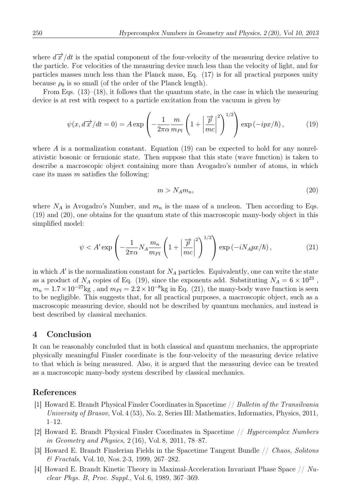where  $d\vec{x}/dt$  is the spatial component of the four-velocity of the measuring device relative to the particle. For velocities of the measuring device much less than the velocity of light, and for particles masses much less than the Planck mass, Eq. (17) is for all practical purposes unity because  $\rho_0$  is so small (of the order of the Planck length).

From Eqs.  $(13)$ – $(18)$ , it follows that the quantum state, in the case in which the measuring device is at rest with respect to a particle excitation from the vacuum is given by

$$
\psi(x, d\vec{x}/dt = 0) = A \exp\left(-\frac{1}{2\pi\alpha} \frac{m}{m_{Pl}} \left(1 + \left|\frac{\vec{p}}{mc}\right|^2\right)^{1/2}\right) \exp\left(-ipx/\hbar\right),\tag{19}
$$

where A is a normalization constant. Equation  $(19)$  can be expected to hold for any nonrelativistic bosonic or fermionic state. Then suppose that this state (wave function) is taken to describe a macroscopic object containing more than Avogadro's number of atoms, in which case its mass  $m$  satisfies the following:

$$
m > N_A m_n,\tag{20}
$$

where  $N_A$  is Avogadro's Number, and  $m_n$  is the mass of a nucleon. Then according to Eqs. (19) and (20), one obtains for the quantum state of this macroscopic many-body object in this simplified model:

$$
\psi < A' \exp\left(-\frac{1}{2\pi\alpha} N_A \frac{m_n}{m_{Pl}} \left(1 + \left|\frac{\overrightarrow{p}}{mc}\right|^2\right)^{1/2}\right) \exp\left(-iN_A px/\hbar\right),\tag{21}
$$

in which  $A'$  is the normalization constant for  $N_A$  particles. Equivalently, one can write the state as a product of  $N_A$  copies of Eq. (19), since the exponents add. Substituting  $N_A = 6 \times 10^{23}$ ,  $m_n = 1.7 \times 10^{-27}$ kg, and  $m_{Pl} = 2.2 \times 10^{-8}$ kg in Eq. (21), the many-body wave function is seen to be negligible. This suggests that, for all practical purposes, a macroscopic object, such as a macroscopic measuring device, should not be described by quantum mechanics, and instead is best described by classical mechanics.

## 4 Conclusion

It can be reasonably concluded that in both classical and quantum mechanics, the appropriate physically meaningful Finsler coordinate is the four-velocity of the measuring device relative to that which is being measured. Also, it is argued that the measuring device can be treated as a macroscopic many-body system described by classical mechanics.

#### References

- [1] Howard E. Brandt Physical Finsler Coordinates in Spacetime // Bulletin of the Transilvania University of Brasov, Vol. 4 (53), No. 2, Series III: Mathematics, Informatics, Physics, 2011, 1–12.
- [2] Howard E. Brandt Physical Finsler Coordinates in Spacetime // Hypercomplex Numbers in Geometry and Physics, 2 (16), Vol. 8, 2011, 78–87.
- [3] Howard E. Brandt Finslerian Fields in the Spacetime Tangent Bundle // Chaos, Solitons & Fractals, Vol. 10, Nos. 2-3, 1999, 267–282.
- [4] Howard E. Brandt Kinetic Theory in Maximal-Acceleration Invariant Phase Space  $//$  Nuclear Phys. B, Proc. Suppl., Vol. 6, 1989, 367–369.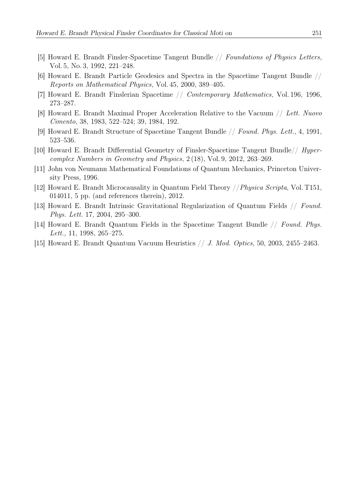- [5] Howard E. Brandt Finsler-Spacetime Tangent Bundle // Foundations of Physics Letters, Vol. 5, No. 3, 1992, 221–248.
- [6] Howard E. Brandt Particle Geodesics and Spectra in the Spacetime Tangent Bundle // Reports on Mathematical Physics, Vol. 45, 2000, 389–405.
- [7] Howard E. Brandt Finslerian Spacetime // Contemporary Mathematics, Vol. 196, 1996, 273–287.
- [8] Howard E. Brandt Maximal Proper Acceleration Relative to the Vacuum // Lett. Nuovo Cimento, 38, 1983, 522–524; 39, 1984, 192.
- [9] Howard E. Brandt Structure of Spacetime Tangent Bundle // Found. Phys. Lett., 4, 1991, 523–536.
- [10] Howard E. Brandt Differential Geometry of Finsler-Spacetime Tangent Bundle// Hypercomplex Numbers in Geometry and Physics, 2 (18), Vol. 9, 2012, 263–269.
- [11] John von Neumann Mathematical Foundations of Quantum Mechanics, Princeton University Press, 1996.
- [12] Howard E. Brandt Microcausality in Quantum Field Theory //Physica Scripta, Vol. T151, 014011, 5 pp. (and references therein), 2012.
- [13] Howard E. Brandt Intrinsic Gravitational Regularization of Quantum Fields // Found. Phys. Lett. 17, 2004, 295–300.
- [14] Howard E. Brandt Quantum Fields in the Spacetime Tangent Bundle // Found. Phys. Lett., 11, 1998, 265–275.
- [15] Howard E. Brandt Quantum Vacuum Heuristics // J. Mod. Optics, 50, 2003, 2455–2463.